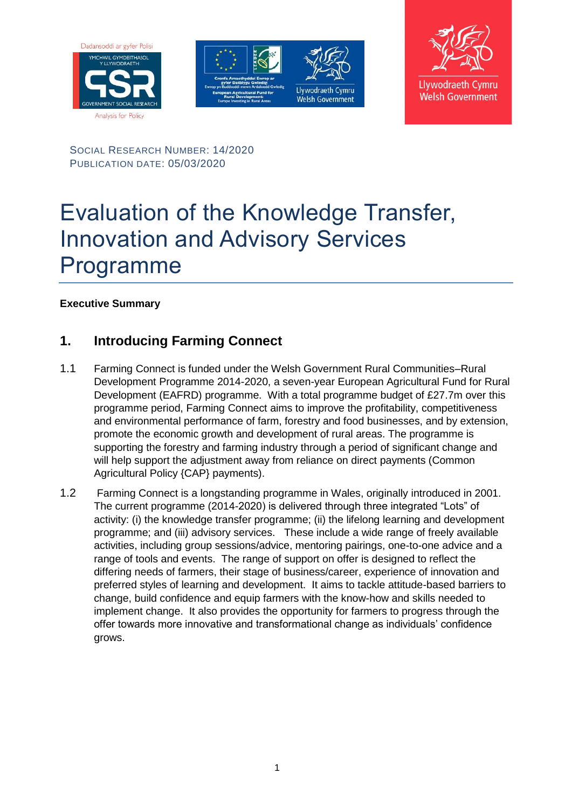





SOCIAL RESEARCH NUMBER: 14/2020 PUBLICATION DATE: 05/03/2020

# Evaluation of the Knowledge Transfer, Innovation and Advisory Services Programme

**Executive Summary**

## **1. Introducing Farming Connect**

- 1.1 Farming Connect is funded under the Welsh Government Rural Communities–Rural Development Programme 2014-2020, a seven-year European Agricultural Fund for Rural Development (EAFRD) programme. With a total programme budget of £27.7m over this programme period, Farming Connect aims to improve the profitability, competitiveness and environmental performance of farm, forestry and food businesses, and by extension, promote the economic growth and development of rural areas. The programme is supporting the forestry and farming industry through a period of significant change and will help support the adjustment away from reliance on direct payments (Common Agricultural Policy {CAP} payments).
- 1.2 Farming Connect is a longstanding programme in Wales, originally introduced in 2001. The current programme (2014-2020) is delivered through three integrated "Lots" of activity: (i) the knowledge transfer programme; (ii) the lifelong learning and development programme; and (iii) advisory services. These include a wide range of freely available activities, including group sessions/advice, mentoring pairings, one-to-one advice and a range of tools and events. The range of support on offer is designed to reflect the differing needs of farmers, their stage of business/career, experience of innovation and preferred styles of learning and development. It aims to tackle attitude-based barriers to change, build confidence and equip farmers with the know-how and skills needed to implement change. It also provides the opportunity for farmers to progress through the offer towards more innovative and transformational change as individuals' confidence grows.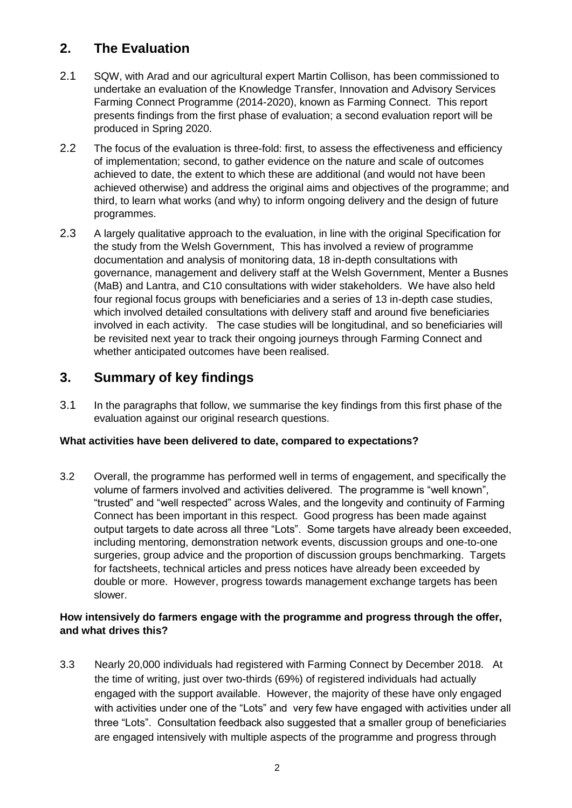## **2. The Evaluation**

- 2.1 SQW, with Arad and our agricultural expert Martin Collison, has been commissioned to undertake an evaluation of the Knowledge Transfer, Innovation and Advisory Services Farming Connect Programme (2014-2020), known as Farming Connect. This report presents findings from the first phase of evaluation; a second evaluation report will be produced in Spring 2020.
- 2.2 The focus of the evaluation is three-fold: first, to assess the effectiveness and efficiency of implementation; second, to gather evidence on the nature and scale of outcomes achieved to date, the extent to which these are additional (and would not have been achieved otherwise) and address the original aims and objectives of the programme; and third, to learn what works (and why) to inform ongoing delivery and the design of future programmes.
- 2.3 A largely qualitative approach to the evaluation, in line with the original Specification for the study from the Welsh Government, This has involved a review of programme documentation and analysis of monitoring data, 18 in-depth consultations with governance, management and delivery staff at the Welsh Government, Menter a Busnes (MaB) and Lantra, and C10 consultations with wider stakeholders. We have also held four regional focus groups with beneficiaries and a series of 13 in-depth case studies, which involved detailed consultations with delivery staff and around five beneficiaries involved in each activity. The case studies will be longitudinal, and so beneficiaries will be revisited next year to track their ongoing journeys through Farming Connect and whether anticipated outcomes have been realised.

### **3. Summary of key findings**

3.1 In the paragraphs that follow, we summarise the key findings from this first phase of the evaluation against our original research questions.

#### **What activities have been delivered to date, compared to expectations?**

3.2 Overall, the programme has performed well in terms of engagement, and specifically the volume of farmers involved and activities delivered. The programme is "well known", "trusted" and "well respected" across Wales, and the longevity and continuity of Farming Connect has been important in this respect. Good progress has been made against output targets to date across all three "Lots". Some targets have already been exceeded, including mentoring, demonstration network events, discussion groups and one-to-one surgeries, group advice and the proportion of discussion groups benchmarking. Targets for factsheets, technical articles and press notices have already been exceeded by double or more. However, progress towards management exchange targets has been slower.

#### **How intensively do farmers engage with the programme and progress through the offer, and what drives this?**

3.3 Nearly 20,000 individuals had registered with Farming Connect by December 2018. At the time of writing, just over two-thirds (69%) of registered individuals had actually engaged with the support available. However, the majority of these have only engaged with activities under one of the "Lots" and very few have engaged with activities under all three "Lots". Consultation feedback also suggested that a smaller group of beneficiaries are engaged intensively with multiple aspects of the programme and progress through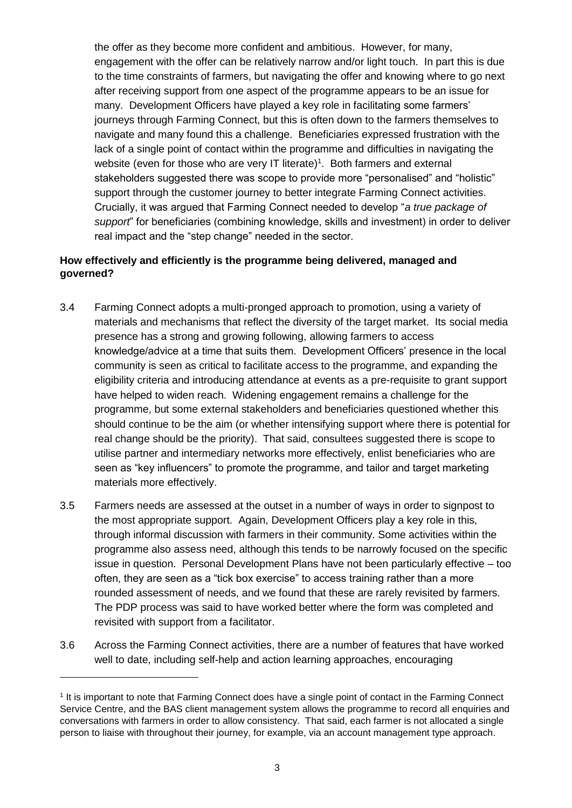the offer as they become more confident and ambitious. However, for many, engagement with the offer can be relatively narrow and/or light touch. In part this is due to the time constraints of farmers, but navigating the offer and knowing where to go next after receiving support from one aspect of the programme appears to be an issue for many. Development Officers have played a key role in facilitating some farmers' journeys through Farming Connect, but this is often down to the farmers themselves to navigate and many found this a challenge. Beneficiaries expressed frustration with the lack of a single point of contact within the programme and difficulties in navigating the website (even for those who are very IT literate)<sup>1</sup>. Both farmers and external stakeholders suggested there was scope to provide more "personalised" and "holistic" support through the customer journey to better integrate Farming Connect activities. Crucially, it was argued that Farming Connect needed to develop "*a true package of support*" for beneficiaries (combining knowledge, skills and investment) in order to deliver real impact and the "step change" needed in the sector.

#### **How effectively and efficiently is the programme being delivered, managed and governed?**

- 3.4 Farming Connect adopts a multi-pronged approach to promotion, using a variety of materials and mechanisms that reflect the diversity of the target market. Its social media presence has a strong and growing following, allowing farmers to access knowledge/advice at a time that suits them. Development Officers' presence in the local community is seen as critical to facilitate access to the programme, and expanding the eligibility criteria and introducing attendance at events as a pre-requisite to grant support have helped to widen reach. Widening engagement remains a challenge for the programme, but some external stakeholders and beneficiaries questioned whether this should continue to be the aim (or whether intensifying support where there is potential for real change should be the priority). That said, consultees suggested there is scope to utilise partner and intermediary networks more effectively, enlist beneficiaries who are seen as "key influencers" to promote the programme, and tailor and target marketing materials more effectively.
- 3.5 Farmers needs are assessed at the outset in a number of ways in order to signpost to the most appropriate support. Again, Development Officers play a key role in this, through informal discussion with farmers in their community. Some activities within the programme also assess need, although this tends to be narrowly focused on the specific issue in question. Personal Development Plans have not been particularly effective – too often, they are seen as a "tick box exercise" to access training rather than a more rounded assessment of needs, and we found that these are rarely revisited by farmers. The PDP process was said to have worked better where the form was completed and revisited with support from a facilitator.
- 3.6 Across the Farming Connect activities, there are a number of features that have worked well to date, including self-help and action learning approaches, encouraging

 $\overline{a}$ 

<sup>1</sup> It is important to note that Farming Connect does have a single point of contact in the Farming Connect Service Centre, and the BAS client management system allows the programme to record all enquiries and conversations with farmers in order to allow consistency. That said, each farmer is not allocated a single person to liaise with throughout their journey, for example, via an account management type approach.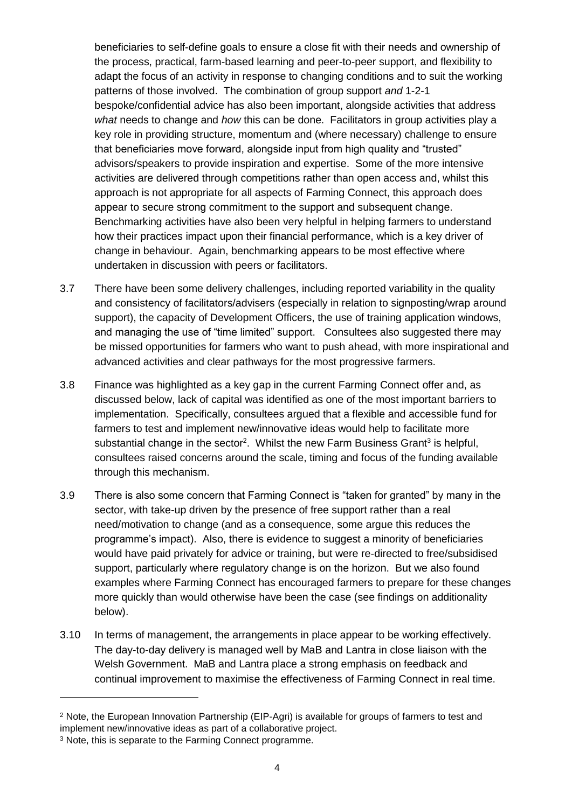beneficiaries to self-define goals to ensure a close fit with their needs and ownership of the process, practical, farm-based learning and peer-to-peer support, and flexibility to adapt the focus of an activity in response to changing conditions and to suit the working patterns of those involved. The combination of group support *and* 1-2-1 bespoke/confidential advice has also been important, alongside activities that address *what* needs to change and *how* this can be done. Facilitators in group activities play a key role in providing structure, momentum and (where necessary) challenge to ensure that beneficiaries move forward, alongside input from high quality and "trusted" advisors/speakers to provide inspiration and expertise. Some of the more intensive activities are delivered through competitions rather than open access and, whilst this approach is not appropriate for all aspects of Farming Connect, this approach does appear to secure strong commitment to the support and subsequent change. Benchmarking activities have also been very helpful in helping farmers to understand how their practices impact upon their financial performance, which is a key driver of change in behaviour. Again, benchmarking appears to be most effective where undertaken in discussion with peers or facilitators.

- 3.7 There have been some delivery challenges, including reported variability in the quality and consistency of facilitators/advisers (especially in relation to signposting/wrap around support), the capacity of Development Officers, the use of training application windows, and managing the use of "time limited" support. Consultees also suggested there may be missed opportunities for farmers who want to push ahead, with more inspirational and advanced activities and clear pathways for the most progressive farmers.
- 3.8 Finance was highlighted as a key gap in the current Farming Connect offer and, as discussed below, lack of capital was identified as one of the most important barriers to implementation. Specifically, consultees argued that a flexible and accessible fund for farmers to test and implement new/innovative ideas would help to facilitate more substantial change in the sector<sup>2</sup>. Whilst the new Farm Business Grant<sup>3</sup> is helpful, consultees raised concerns around the scale, timing and focus of the funding available through this mechanism.
- 3.9 There is also some concern that Farming Connect is "taken for granted" by many in the sector, with take-up driven by the presence of free support rather than a real need/motivation to change (and as a consequence, some argue this reduces the programme's impact). Also, there is evidence to suggest a minority of beneficiaries would have paid privately for advice or training, but were re-directed to free/subsidised support, particularly where regulatory change is on the horizon. But we also found examples where Farming Connect has encouraged farmers to prepare for these changes more quickly than would otherwise have been the case (see findings on additionality below).
- 3.10 In terms of management, the arrangements in place appear to be working effectively. The day-to-day delivery is managed well by MaB and Lantra in close liaison with the Welsh Government. MaB and Lantra place a strong emphasis on feedback and continual improvement to maximise the effectiveness of Farming Connect in real time.

 $\overline{a}$ 

<sup>2</sup> Note, the European Innovation Partnership (EIP-Agri) is available for groups of farmers to test and implement new/innovative ideas as part of a collaborative project.

<sup>3</sup> Note, this is separate to the Farming Connect programme.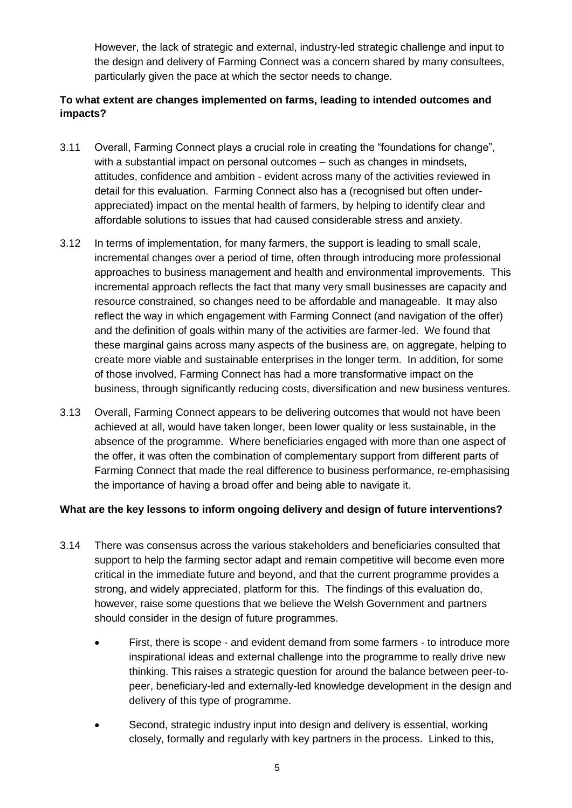However, the lack of strategic and external, industry-led strategic challenge and input to the design and delivery of Farming Connect was a concern shared by many consultees, particularly given the pace at which the sector needs to change.

#### **To what extent are changes implemented on farms, leading to intended outcomes and impacts?**

- 3.11 Overall, Farming Connect plays a crucial role in creating the "foundations for change", with a substantial impact on personal outcomes – such as changes in mindsets, attitudes, confidence and ambition - evident across many of the activities reviewed in detail for this evaluation. Farming Connect also has a (recognised but often underappreciated) impact on the mental health of farmers, by helping to identify clear and affordable solutions to issues that had caused considerable stress and anxiety.
- 3.12 In terms of implementation, for many farmers, the support is leading to small scale, incremental changes over a period of time, often through introducing more professional approaches to business management and health and environmental improvements. This incremental approach reflects the fact that many very small businesses are capacity and resource constrained, so changes need to be affordable and manageable. It may also reflect the way in which engagement with Farming Connect (and navigation of the offer) and the definition of goals within many of the activities are farmer-led. We found that these marginal gains across many aspects of the business are, on aggregate, helping to create more viable and sustainable enterprises in the longer term. In addition, for some of those involved, Farming Connect has had a more transformative impact on the business, through significantly reducing costs, diversification and new business ventures.
- 3.13 Overall, Farming Connect appears to be delivering outcomes that would not have been achieved at all, would have taken longer, been lower quality or less sustainable, in the absence of the programme. Where beneficiaries engaged with more than one aspect of the offer, it was often the combination of complementary support from different parts of Farming Connect that made the real difference to business performance, re-emphasising the importance of having a broad offer and being able to navigate it.

#### **What are the key lessons to inform ongoing delivery and design of future interventions?**

- 3.14 There was consensus across the various stakeholders and beneficiaries consulted that support to help the farming sector adapt and remain competitive will become even more critical in the immediate future and beyond, and that the current programme provides a strong, and widely appreciated, platform for this. The findings of this evaluation do, however, raise some questions that we believe the Welsh Government and partners should consider in the design of future programmes.
	- First, there is scope and evident demand from some farmers to introduce more inspirational ideas and external challenge into the programme to really drive new thinking. This raises a strategic question for around the balance between peer-topeer, beneficiary-led and externally-led knowledge development in the design and delivery of this type of programme.
	- Second, strategic industry input into design and delivery is essential, working closely, formally and regularly with key partners in the process. Linked to this,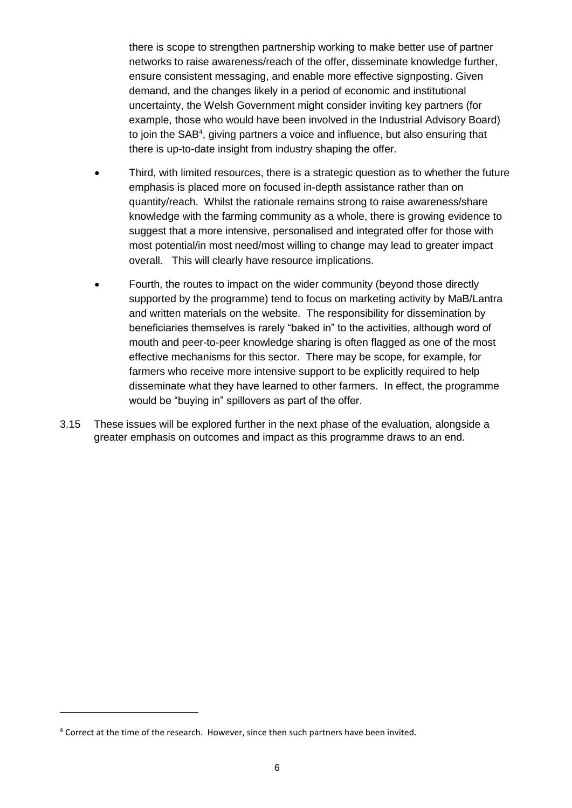there is scope to strengthen partnership working to make better use of partner networks to raise awareness/reach of the offer, disseminate knowledge further, ensure consistent messaging, and enable more effective signposting. Given demand, and the changes likely in a period of economic and institutional uncertainty, the Welsh Government might consider inviting key partners (for example, those who would have been involved in the Industrial Advisory Board) to join the SAB<sup>4</sup>, giving partners a voice and influence, but also ensuring that there is up-to-date insight from industry shaping the offer.

- Third, with limited resources, there is a strategic question as to whether the future emphasis is placed more on focused in-depth assistance rather than on quantity/reach. Whilst the rationale remains strong to raise awareness/share knowledge with the farming community as a whole, there is growing evidence to suggest that a more intensive, personalised and integrated offer for those with most potential/in most need/most willing to change may lead to greater impact overall. This will clearly have resource implications.
- Fourth, the routes to impact on the wider community (beyond those directly supported by the programme) tend to focus on marketing activity by MaB/Lantra and written materials on the website. The responsibility for dissemination by beneficiaries themselves is rarely "baked in" to the activities, although word of mouth and peer-to-peer knowledge sharing is often flagged as one of the most effective mechanisms for this sector. There may be scope, for example, for farmers who receive more intensive support to be explicitly required to help disseminate what they have learned to other farmers. In effect, the programme would be "buying in" spillovers as part of the offer.
- 3.15 These issues will be explored further in the next phase of the evaluation, alongside a greater emphasis on outcomes and impact as this programme draws to an end.

 $\overline{a}$ 

<sup>4</sup> Correct at the time of the research. However, since then such partners have been invited.